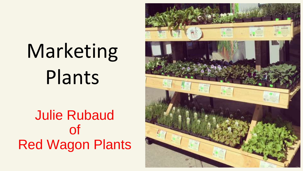# Marketing Plants

Julie Rubaud of Red Wagon Plants

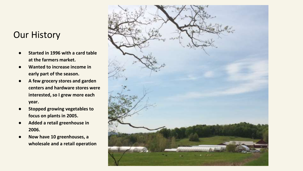# Our History

- **Started in 1996 with a card table at the farmers market.**
- **Wanted to increase income in early part of the season.**
- **A few grocery stores and garden centers and hardware stores were interested, so I grew more each year.**
- **Stopped growing vegetables to focus on plants in 2005.**
- **Added a retail greenhouse in 2006.**
- **Now have 10 greenhouses, a wholesale and a retail operation**

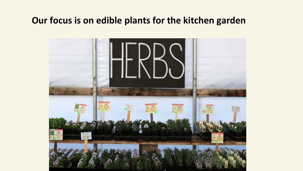# **Our focus is on edible plants for the kitchen garden**

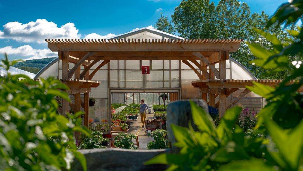# 

 $\mathcal{O}$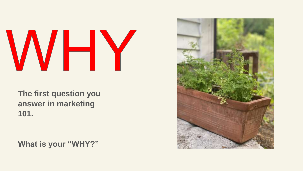# WHY

**The first question you answer in marketing 101.** 

**What is your "WHY?"**

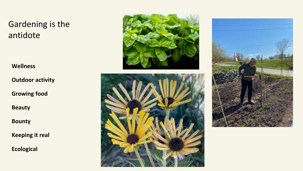# Gardening is the antidote

**Wellness**

**Outdoor activity**

**Growing food**

**Beauty**

**Bounty**

**Keeping it real**

**Ecological**





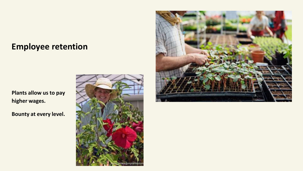# **Employee retention**



**Plants allow us to pay higher wages.**

**Bounty at every level.** 

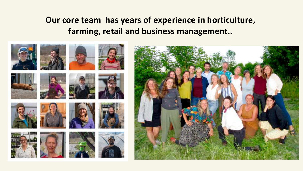# **Our core team has years of experience in horticulture, farming, retail and business management..**

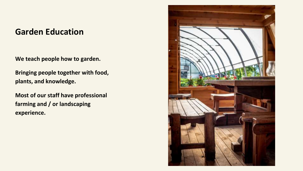# **Garden Education**

**We teach people how to garden.** 

**Bringing people together with food, plants, and knowledge.**

**Most of our staff have professional farming and / or landscaping experience.**

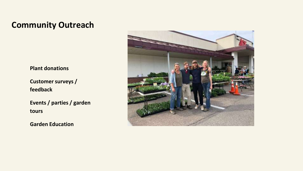# **Community Outreach**

**Plant donations**

**Customer surveys / feedback**

**Events / parties / garden tours**

**Garden Education**

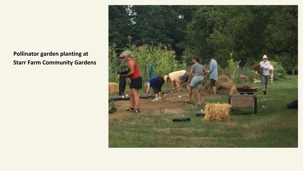**Pollinator garden planting at Starr Farm Community Gardens**

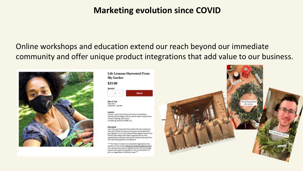# **Marketing evolution since COVID**

# Online workshops and education extend our reach beyond our immediate community and offer unique product integrations that add value to our business.



### Life Lessons Harvested From My Garden \$25.00

### **Quantity**

**Attend** 

Date & Time Sat, Dec S 12:00 PM - 1:30 PM

### Location

Virtual - zoom link will be sent prior to workshop Hosbed by Red Wagon Plants and All Heart Inspirations. Virtual meeting, over Zoom Hinesburg, Vermont OS481, US

### Description

How have you bloomed from where life has rooted you this year? What IIte lessons have you harvested from your pardent zoin Julie Ruboud (Red Wagon Plants) and Ferene Paris Meyer (All Heart Inspirations) for this atarytelling workshop sharing life lessons learned from their personal gardens and beyond.

\*\*\*\* For those in need of a subsidized registration for. please contact Ferene allheartingpirations@etmail.com for a discounted code to register priins. We encourage anyane who wants to partake in this conversation to join us, regardless of ability to pay."\*\*\*

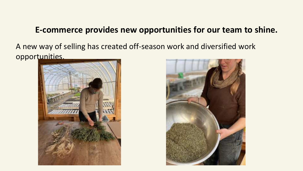# **E-commerce provides new opportunities for our team to shine.**

A new way of selling has created off-season work and diversified work opportunities.



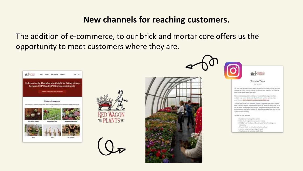# **New channels for reaching customers.**

The addition of e-commerce, to our brick and mortar core offers us the opportunity to meet customers where they are.







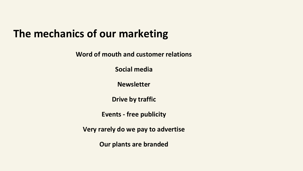# **The mechanics of our marketing**

**Word of mouth and customer relations**

**Social media**

**Newsletter**

**Drive by traffic**

**Events - free publicity**

**Very rarely do we pay to advertise**

**Our plants are branded**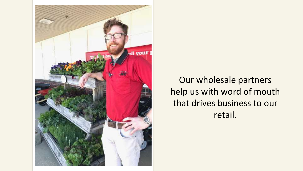

Our wholesale partners help us with word of mouth that drives business to our retail.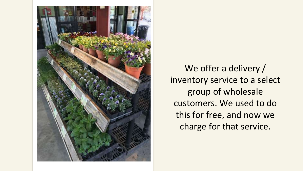

We offer a delivery / inventory service to a select group of wholesale customers. We used to do this for free, and now we charge for that service.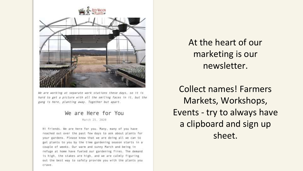

We are working at separate work stations these days, so it is hard to get a picture with all the smiling faces in it, but the gang is here, planting away. Together but apart.

### We are Here for You

March 25, 2020

Hi friends. We are here for you. Many, many of you have reached out over the past few days to ask about plants for your gardens. Please know that we are doing all we can to get plants to you by the time gardening season starts in a couple of weeks. Our warm and sunny March and being in refuge at home have fueled our gardening fires. The demand is high, the stakes are high, and we are calmly figuring out the best way to safely provide you with the plants you crave.

At the heart of our marketing is our newsletter.

Collect names! Farmers Markets, Workshops, Events - try to always have a clipboard and sign up sheet.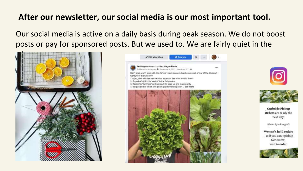# **After our newsletter, our social media is our most important tool.**

Our social media is active on a daily basis during peak season. We do not boost posts or pay for sponsored posts. But we used to. We are fairly quiet in the









Curbside Pickup Orders are ready the next day!

(Order by midnight!)

We can't hold orders - so if you can't pickup tomorrow. wait to order!

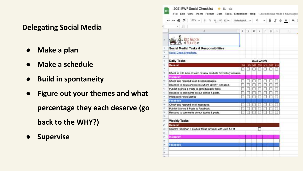## **Delegating Social Media**

- **Make a plan**
- **Make a schedule**
- **Build in spontaneity**
- **Figure out your themes and what percentage they each deserve (go back to the WHY?)**
- **Supervise**

|          | $100% -$<br>% .D. .D. 123 v Default (Ari v<br>s                   |              |   |                              | 10 |   | B | $\mathcal{I}$ |  |    |  |
|----------|-------------------------------------------------------------------|--------------|---|------------------------------|----|---|---|---------------|--|----|--|
|          | $+1.58$                                                           |              |   |                              |    |   |   |               |  |    |  |
|          | Ä<br>٠                                                            | B            | a | D                            | E  | F | a | H.            |  | î. |  |
|          | <b>RED WAGON</b>                                                  |              |   |                              |    |   |   |               |  |    |  |
| ž        | <b>Social Medial Tasks &amp; Responsibilities</b>                 |              |   |                              |    |   |   |               |  |    |  |
| з        | Social Cheat Sheet here.                                          |              |   |                              |    |   |   |               |  |    |  |
|          |                                                                   |              |   |                              |    |   |   |               |  |    |  |
| ŝ        | <b>Daily Tasks</b>                                                | Week of 3/22 |   |                              |    |   |   |               |  |    |  |
| 8        | General                                                           | 36           |   | 3/9 3/10 3/11 3/12 3/13 3/14 |    |   |   |               |  |    |  |
| $\tau$   |                                                                   | п            |   |                              |    |   |   |               |  |    |  |
|          | Check in with Julie or team re: new products / inventory updates. |              |   |                              |    |   |   |               |  |    |  |
|          | <b>Instagram</b>                                                  |              |   |                              |    |   |   |               |  |    |  |
| 10       | Check and respond to all direct messages.                         |              |   |                              |    |   |   |               |  |    |  |
| 11       | Respond to posts and stories where @RWP is tagged.                |              |   |                              |    |   |   |               |  |    |  |
| 12       | Publish Stories & Posts to @RedWagonPlants                        |              |   |                              |    |   |   |               |  |    |  |
| 13       | Respond to comments on our stories & posts.                       |              |   |                              |    |   |   |               |  |    |  |
| 14       | Interactive Posts/Stories                                         |              |   |                              |    |   |   |               |  |    |  |
| 15       | Facebook                                                          |              |   |                              |    |   |   |               |  |    |  |
| 16       | Check and respond to all messages.                                |              |   |                              |    |   |   |               |  |    |  |
| 17       | Publish Stories & Posts to Facebook.                              |              |   |                              |    |   |   |               |  |    |  |
| 18       | Respond to comments on our stories & posts.                       |              |   |                              |    |   |   |               |  |    |  |
| 19       |                                                                   |              |   |                              |    |   |   |               |  |    |  |
| 20       | <b>Weekly Tasks</b>                                               |              |   |                              |    |   |   |               |  |    |  |
| 21       | General                                                           |              |   |                              |    |   |   |               |  |    |  |
| $^{22}$  | Confirm "editorial" + product focus for week with Julie & FM      |              |   |                              | п  |   |   |               |  |    |  |
| 23       |                                                                   |              |   |                              |    |   |   |               |  |    |  |
| 34<br>29 | Instagram                                                         |              |   |                              |    |   |   |               |  |    |  |
| 26       | Facebook                                                          |              |   |                              |    |   |   |               |  |    |  |
|          |                                                                   |              |   |                              |    |   |   |               |  |    |  |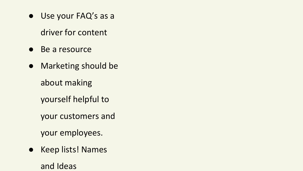● Use your FAQ's as a

driver for content

- Be a resource
- Marketing should be

about making

yourself helpful to

your customers and

your employees.

● Keep lists! Names

and Ideas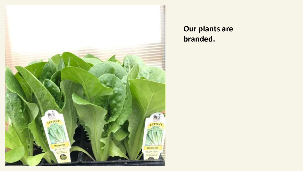

# **Our plants are branded.**